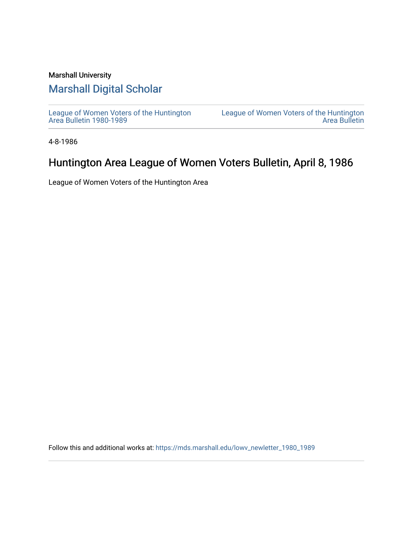#### Marshall University

#### [Marshall Digital Scholar](https://mds.marshall.edu/)

[League of Women Voters of the Huntington](https://mds.marshall.edu/lowv_newletter_1980_1989) [Area Bulletin 1980-1989](https://mds.marshall.edu/lowv_newletter_1980_1989) 

[League of Women Voters of the Huntington](https://mds.marshall.edu/lowv_newsletter)  [Area Bulletin](https://mds.marshall.edu/lowv_newsletter) 

4-8-1986

#### Huntington Area League of Women Voters Bulletin, April 8, 1986

League of Women Voters of the Huntington Area

Follow this and additional works at: [https://mds.marshall.edu/lowv\\_newletter\\_1980\\_1989](https://mds.marshall.edu/lowv_newletter_1980_1989?utm_source=mds.marshall.edu%2Flowv_newletter_1980_1989%2F57&utm_medium=PDF&utm_campaign=PDFCoverPages)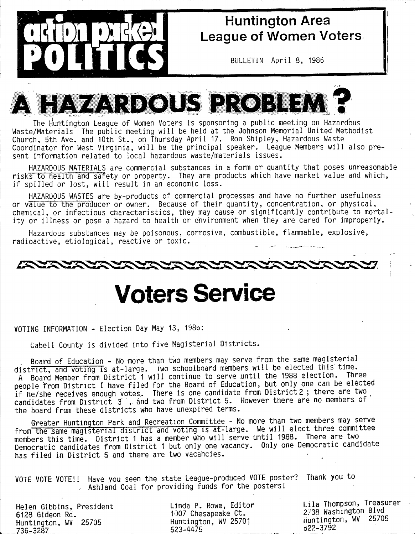

## **Huntington Area League of Women Voters**

**BULLETIN April 8, 1986**



**The tiuntington League of Women Voters is sponsoring a public meeting on Hazardous : Waste/Materials The public meeting w ill be held at the Johnson Memorial United Methodist Church, 5th Ave. and 10th St., on Thursday April 17. Ron Shipley, Hazardous Waste** Coordinator for West Virginia, will be the principal speaker. League Members will also pre-**I sent information related to local hazardous waste/materials issues.**

**, HAZARDOUS MATERIALS are commercial substances in a form or quantity that poses unreasonable risks to health amd safety or property. They are products which have market value and which,** if spilled or lost, will result in an economic loss.

HAZARDOUS WASTES are by-products of commercial processes and have no further usefulness or value to the producer or owner. Because of their quantity, concentration, or physical, chemical, or infectious characteristics, they may cause or significantly contribute to mortality or illness or pose a hazard to health or environment when they are cared for improperly.

**Hazardous substances may be poisonous, corrosive, combustible, flammable, explosive,** radioactive, etiological, reactive or toxic.



# **Voters Service**

**VOTING INFORMATION - Election Day May 13, 198b:**

Cabell County is divided into five Magisterial Districts.

Board of Education - No more than two members may serve from the same magisterial district, and voting is at-large. Two schoolboard members will be elected this time. A Board Member from District<sup>7</sup> will continue to serve until the 1988 election. Three people from District I have filed for the Board of Education, but only one can be elected if he/she receives enough votes. There is one candidate from District 2; there are two candidates from District 3., and two from District 5. However there are no members of the board from these districts who have unexpired terms.

**Greater Huntington Park and Recreation Committee - No more than two members may serve** from the same magisterial district and voting is at-large. We will elect three committee members this time. District 1 has a member who will serve until 1988. There are two Democratic candidates from District 1 but only one vacancy. Only one Democratic candidate has filed in District 5 and there are two vacancies.

**VOTE VOTE VOTE!! Have you seen the state League-produced VOTE poster? Thank you to .. Ashland Coal for providing funds for the posters!**

**Helen Gibbins, President 6128. Gideon Rd. Huntington, WV 25705 736-3287\_\_\_\_\_\_\_\_\_\_\_\_\_\_\_\_**

**Linda P. Rowe, Editor 1007 Chesapeake Ct. Huntington, WV 25701 523-4475**

**L ila Thompson, Treasurer 2/38 Washington Blvd Huntington, WV 25705 322-3792**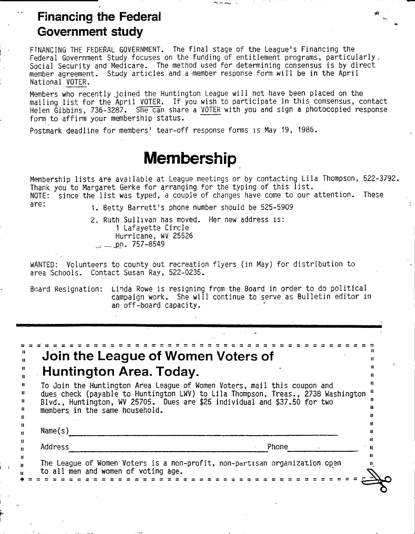### **Financing the Federal**  $\bullet$ **Government study**

FINANCING THE FEDERAL GOVERNMENT. The final stage of the League's Financing the Federal Government Study focuses on the funding of entitlement programs, particularly. Social Security and Medicare. The method used for determining consensus is by direct member agreement. Study articles and a member response form will be in the April **National VOTER.**

Members who recently joined the Huntington League will not have been placed on the mailing list for the April VOTER. If you wish to participate in this consensus, contact **Helen Gibbins, 736-3287. She can share a VOTER with you and sign a photocopied response form to affirm your membership status.**

Postmark deadline for members' tear-off response forms is May 19, 1986.

# **Membership**

Membership lists are available at League meetings or by contacting Lila Thompson, 522-3792. Thank you to Margaret Gerke for arranging for the typing of this list. NOTE: since the list was typed, a couple of changes have come to our attention. These are:

**1 . Betty B arrett's phone number should be 525-5909**

**2- Ruth Sullivan has moved. Her new address is: 1 Lafayette C ircle Hurricane, WV 25526 \_\_jDn. 757-8549**

WANTED: Volunteers to county out recreation flyers (in May) for distribution to **area Schools. Contact Susan Ray, 522-0235.**

Board Resignation: Linda Rowe is resigning from the Board in order to do political campaign work. She will continue to serve as Bulletin editor in **an off-board capacity.**

 $\sim$   $\sim$   $\sim$ 

| Huntington Area. Today.<br>To Join the Huntington Area League of Women Voters, mail this coupon and<br>dues check (payable to Huntington LWV) to Lila Thompson, Treas., 2738 Washington<br>Blvd., Huntington, WV 25705. Dues are \$25 individual and \$37.50 for two<br>members in the same household.<br>Name(s)<br>Address<br>Phone<br>The League of Women Voters is a non-profit, non-partisan organization open |
|---------------------------------------------------------------------------------------------------------------------------------------------------------------------------------------------------------------------------------------------------------------------------------------------------------------------------------------------------------------------------------------------------------------------|
|                                                                                                                                                                                                                                                                                                                                                                                                                     |